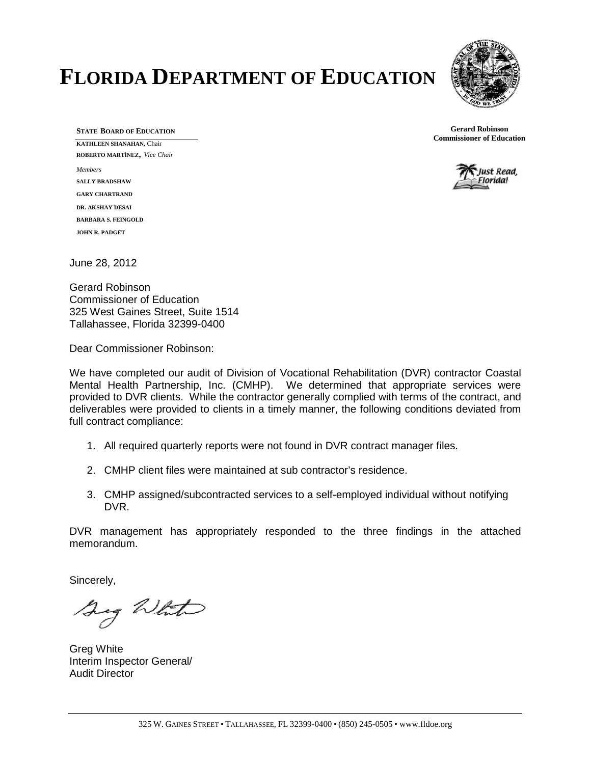# **FLORIDA DEPARTMENT OF EDUCATION**



**STATE BOARD OF EDUCATION KATHLEEN SHANAHAN,** Chair **ROBERTO MARTÍNEZ**, *Vice Chair Members* **SALLY BRADSHAW GARY CHARTRAND DR. AKSHAY DESAI BARBARA S. FEINGOLD JOHN R. PADGET**

**Gerard Robinson Commissioner of Education**



June 28, 2012

Gerard Robinson Commissioner of Education 325 West Gaines Street, Suite 1514 Tallahassee, Florida 32399-0400

Dear Commissioner Robinson:

We have completed our audit of Division of Vocational Rehabilitation (DVR) contractor Coastal Mental Health Partnership, Inc. (CMHP).We determined that appropriate services were provided to DVR clients. While the contractor generally complied with terms of the contract, and deliverables were provided to clients in a timely manner, the following conditions deviated from full contract compliance:

- 1. All required quarterly reports were not found in DVR contract manager files.
- 2. CMHP client files were maintained at sub contractor's residence.
- 3. CMHP assigned/subcontracted services to a self-employed individual without notifying DVR.

DVR management has appropriately responded to the three findings in the attached memorandum.

Sincerely,

Sig White

Greg White Interim Inspector General/ Audit Director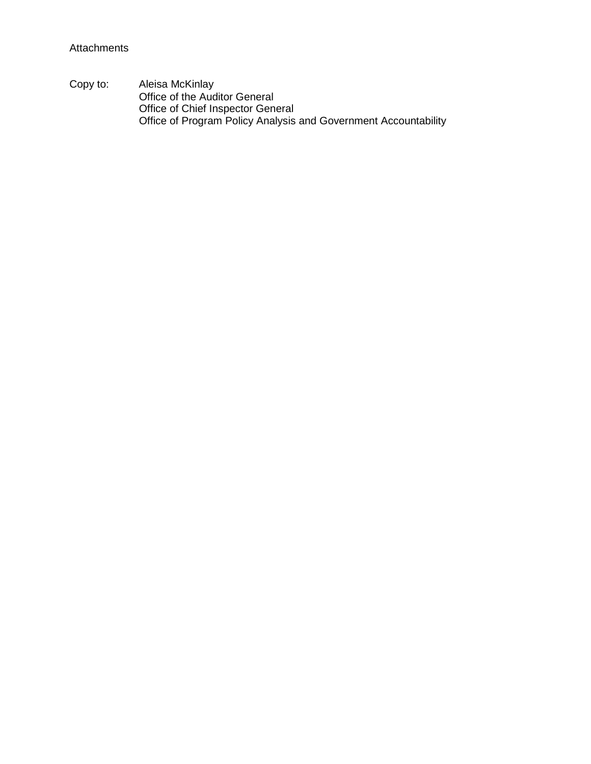Copy to: Aleisa McKinlay Office of the Auditor General Office of Chief Inspector General Office of Program Policy Analysis and Government Accountability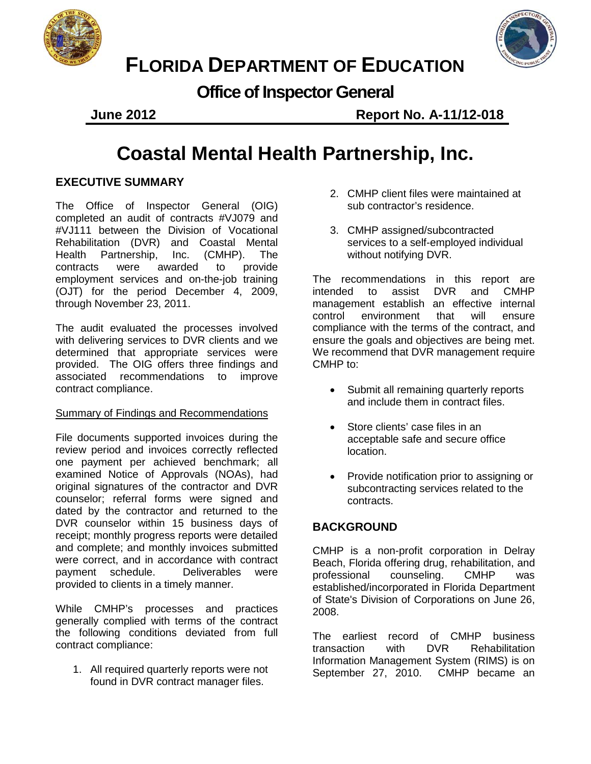



# **FLORIDA DEPARTMENT OF EDUCATION**

**Office of Inspector General**

**June 2012 Report No. A-11/12-018**

# **Coastal Mental Health Partnership, Inc.**

# **EXECUTIVE SUMMARY**

The Office of Inspector General (OIG) completed an audit of contracts #VJ079 and #VJ111 between the Division of Vocational Rehabilitation (DVR) and Coastal Mental Health Partnership, Inc. (CMHP). The contracts were awarded to provide employment services and on-the-job training (OJT) for the period December 4, 2009, through November 23, 2011.

The audit evaluated the processes involved with delivering services to DVR clients and we determined that appropriate services were provided. The OIG offers three findings and associated recommendations to improve contract compliance.

### Summary of Findings and Recommendations

File documents supported invoices during the review period and invoices correctly reflected one payment per achieved benchmark; all examined Notice of Approvals (NOAs), had original signatures of the contractor and DVR counselor; referral forms were signed and dated by the contractor and returned to the DVR counselor within 15 business days of receipt; monthly progress reports were detailed and complete; and monthly invoices submitted were correct, and in accordance with contract payment schedule. Deliverables were provided to clients in a timely manner.

While CMHP's processes and practices generally complied with terms of the contract the following conditions deviated from full contract compliance:

1. All required quarterly reports were not found in DVR contract manager files.

- 2. CMHP client files were maintained at sub contractor's residence.
- 3. CMHP assigned/subcontracted services to a self-employed individual without notifying DVR.

The recommendations in this report are intended to assist DVR and CMHP management establish an effective internal control environment that will ensure compliance with the terms of the contract, and ensure the goals and objectives are being met. We recommend that DVR management require CMHP to:

- Submit all remaining quarterly reports and include them in contract files.
- Store clients' case files in an acceptable safe and secure office location.
- Provide notification prior to assigning or subcontracting services related to the contracts.

# **BACKGROUND**

CMHP is a non-profit corporation in Delray Beach, Florida offering drug, rehabilitation, and professional counseling. CMHP was established/incorporated in Florida Department of State's Division of Corporations on June 26, 2008.

The earliest record of CMHP business<br>transaction with DVR Rehabilitation Rehabilitation Information Management System (RIMS) is on September 27, 2010. CMHP became an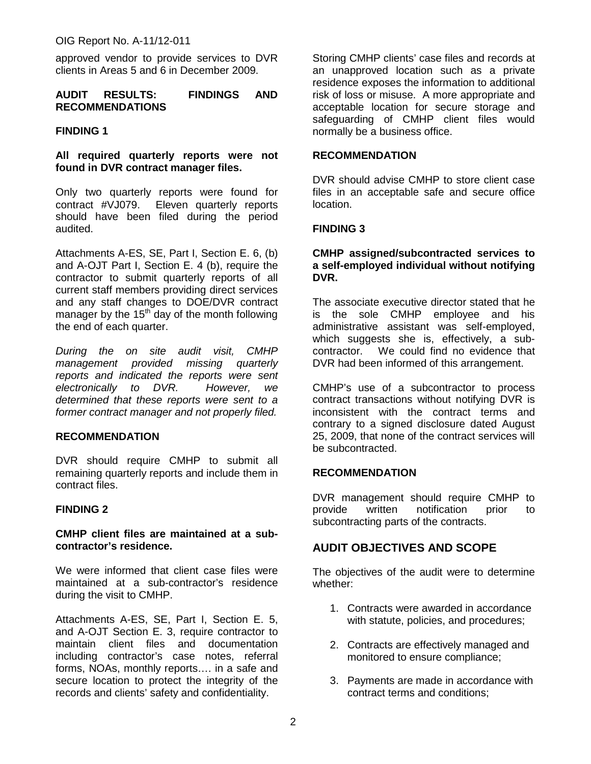approved vendor to provide services to DVR clients in Areas 5 and 6 in December 2009.

#### **AUDIT RESULTS: FINDINGS AND RECOMMENDATIONS**

#### **FINDING 1**

#### **All required quarterly reports were not found in DVR contract manager files.**

Only two quarterly reports were found for contract #VJ079. Eleven quarterly reports should have been filed during the period audited.

Attachments A-ES, SE, Part I, Section E. 6, (b) and A-OJT Part I, Section E. 4 (b), require the contractor to submit quarterly reports of all current staff members providing direct services and any staff changes to DOE/DVR contract manager by the  $15<sup>th</sup>$  day of the month following the end of each quarter.

*During the on site audit visit, CMHP management provided missing quarterly reports and indicated the reports were sent electronically to DVR. However, we determined that these reports were sent to a former contract manager and not properly filed.* 

#### **RECOMMENDATION**

DVR should require CMHP to submit all remaining quarterly reports and include them in contract files.

#### **FINDING 2**

#### **CMHP client files are maintained at a subcontractor's residence.**

We were informed that client case files were maintained at a sub-contractor's residence during the visit to CMHP.

Attachments A-ES, SE, Part I, Section E. 5, and A-OJT Section E. 3, require contractor to maintain client files and documentation including contractor's case notes, referral forms, NOAs, monthly reports…. in a safe and secure location to protect the integrity of the records and clients' safety and confidentiality.

Storing CMHP clients' case files and records at an unapproved location such as a private residence exposes the information to additional risk of loss or misuse. A more appropriate and acceptable location for secure storage and safeguarding of CMHP client files would normally be a business office.

#### **RECOMMENDATION**

DVR should advise CMHP to store client case files in an acceptable safe and secure office location.

#### **FINDING 3**

#### **CMHP assigned/subcontracted services to a self-employed individual without notifying DVR.**

The associate executive director stated that he is the sole CMHP employee and his administrative assistant was self-employed, which suggests she is, effectively, a subcontractor. We could find no evidence that DVR had been informed of this arrangement.

CMHP's use of a subcontractor to process contract transactions without notifying DVR is inconsistent with the contract terms and contrary to a signed disclosure dated August 25, 2009, that none of the contract services will be subcontracted.

#### **RECOMMENDATION**

DVR management should require CMHP to provide written notification prior to subcontracting parts of the contracts.

### **AUDIT OBJECTIVES AND SCOPE**

The objectives of the audit were to determine whether:

- 1. Contracts were awarded in accordance with statute, policies, and procedures;
- 2. Contracts are effectively managed and monitored to ensure compliance;
- 3. Payments are made in accordance with contract terms and conditions;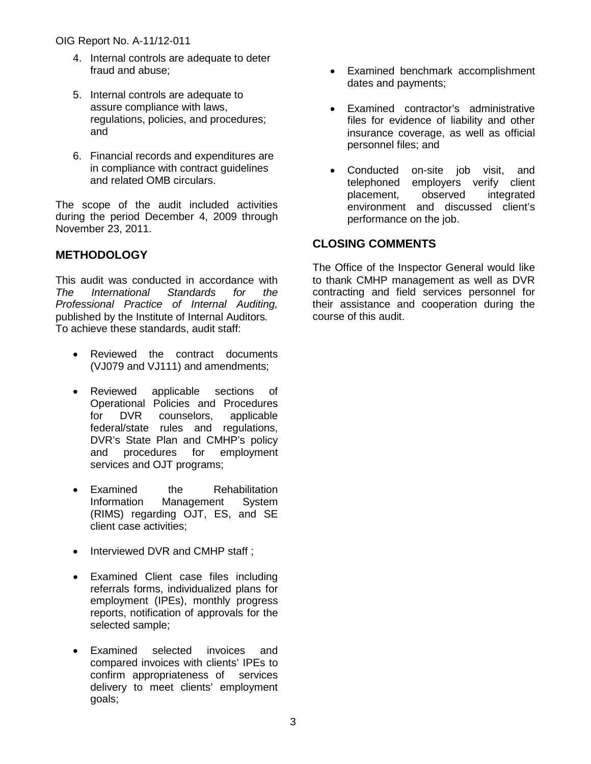- 4. Internal controls are adequate to deter fraud and abuse;
- 5. Internal controls are adequate to assure compliance with laws, regulations, policies, and procedures; and
- 6. Financial records and expenditures are in compliance with contract guidelines and related OMB circulars.

The scope of the audit included activities during the period December 4, 2009 through November 23, 2011.

# **METHODOLOGY**

This audit was conducted in accordance with *The International Standards for the Professional Practice of Internal Auditing,*  published by the Institute of Internal Auditors*.*  To achieve these standards, audit staff:

- Reviewed the contract documents (VJ079 and VJ111) and amendments;
- Reviewed applicable sections of Operational Policies and Procedures for DVR counselors, applicable federal/state rules and regulations, DVR's State Plan and CMHP's policy<br>and procedures for employment and procedures for services and OJT programs;
- Examined the Rehabilitation Information Management System (RIMS) regarding OJT, ES, and SE client case activities;
- Interviewed DVR and CMHP staff;
- Examined Client case files including referrals forms, individualized plans for employment (IPEs), monthly progress reports, notification of approvals for the selected sample;
- Examined selected invoices and compared invoices with clients' IPEs to confirm appropriateness of services delivery to meet clients' employment goals;
- Examined benchmark accomplishment dates and payments;
- Examined contractor's administrative files for evidence of liability and other insurance coverage, as well as official personnel files; and
- Conducted on-site job visit, and telephoned employers verify client placement, observed integrated environment and discussed client's performance on the job.

# **CLOSING COMMENTS**

The Office of the Inspector General would like to thank CMHP management as well as DVR contracting and field services personnel for their assistance and cooperation during the course of this audit.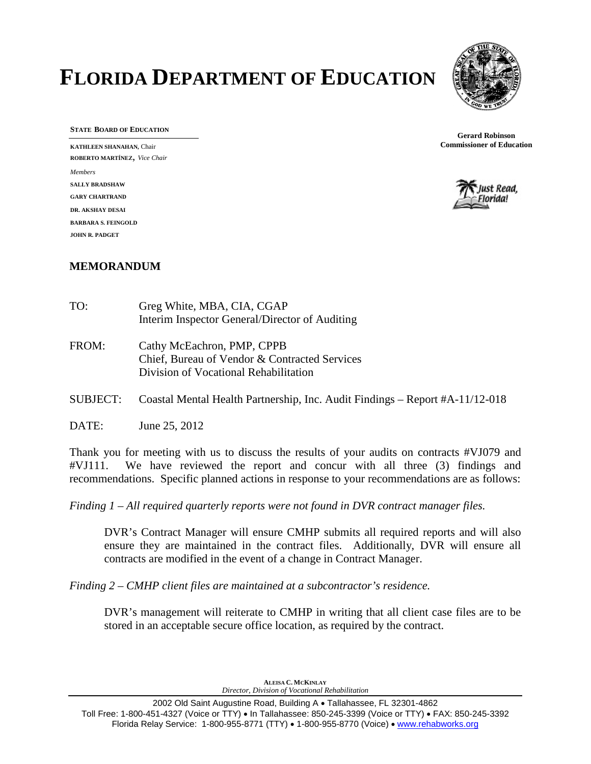# **FLORIDA DEPARTMENT OF EDUCATION**



**STATE BOARD OF EDUCATION**

**KATHLEEN SHANAHAN,** Chair **ROBERTO MARTÍNEZ**, *Vice Chair Members* **SALLY BRADSHAW GARY CHARTRAND DR. AKSHAY DESAI BARBARA S. FEINGOLD JOHN R. PADGET**

**Gerard Robinson Commissioner of Education**



## **MEMORANDUM**

| TO:      | Greg White, MBA, CIA, CGAP<br>Interim Inspector General/Director of Auditing                                         |
|----------|----------------------------------------------------------------------------------------------------------------------|
| FROM:    | Cathy McEachron, PMP, CPPB<br>Chief, Bureau of Vendor & Contracted Services<br>Division of Vocational Rehabilitation |
| SUBJECT: | Coastal Mental Health Partnership, Inc. Audit Findings – Report #A-11/12-018                                         |

DATE: June 25, 2012

Thank you for meeting with us to discuss the results of your audits on contracts #VJ079 and #VJ111. We have reviewed the report and concur with all three (3) findings and recommendations. Specific planned actions in response to your recommendations are as follows:

*Finding 1 – All required quarterly reports were not found in DVR contract manager files.* 

DVR's Contract Manager will ensure CMHP submits all required reports and will also ensure they are maintained in the contract files. Additionally, DVR will ensure all contracts are modified in the event of a change in Contract Manager.

*Finding 2 – CMHP client files are maintained at a subcontractor's residence.* 

DVR's management will reiterate to CMHP in writing that all client case files are to be stored in an acceptable secure office location, as required by the contract.

> **ALEISA C. MCKINLAY** *Director, Division of Vocational Rehabilitation*